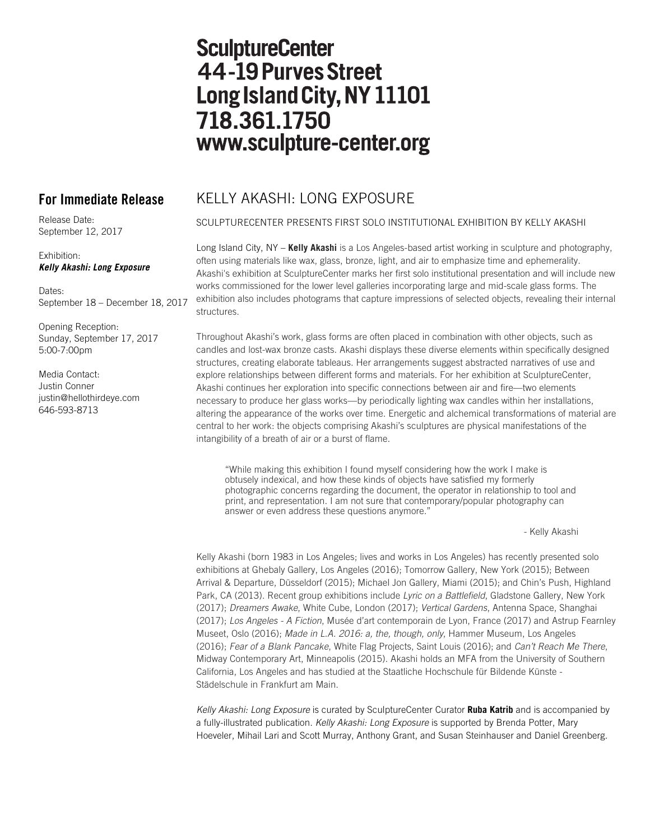# **SculptureCenter** 44-19 Purves Street Long Island City, NY 11101 718.361.1750 www.sculpture-center.org

Release Date: September 12, 2017

## Exhibition: *Kelly Akashi: Long Exposure*

Dates· September 18 – December 18, 2017

Opening Reception: Sunday, September 17, 2017 5:00-7:00pm

Media Contact: Justin Conner justin@hellothirdeye.com 646-593-8713

## **For Immediate Release** KELLY AKASHI: LONG EXPOSURE

## SCULPTURECENTER PRESENTS FIRST SOLO INSTITUTIONAL EXHIBITION BY KELLY AKASHI

Long Island City, NY – **Kelly Akashi** is a Los Angeles-based artist working in sculpture and photography, often using materials like wax, glass, bronze, light, and air to emphasize time and ephemerality. Akashi's exhibition at SculptureCenter marks her first solo institutional presentation and will include new works commissioned for the lower level galleries incorporating large and mid-scale glass forms. The exhibition also includes photograms that capture impressions of selected objects, revealing their internal structures.

Throughout Akashi's work, glass forms are often placed in combination with other objects, such as candles and lost-wax bronze casts. Akashi displays these diverse elements within specifically designed structures, creating elaborate tableaus. Her arrangements suggest abstracted narratives of use and explore relationships between different forms and materials. For her exhibition at SculptureCenter, Akashi continues her exploration into specific connections between air and fire—two elements necessary to produce her glass works—by periodically lighting wax candles within her installations, altering the appearance of the works over time. Energetic and alchemical transformations of material are central to her work: the objects comprising Akashi's sculptures are physical manifestations of the intangibility of a breath of air or a burst of flame.

"While making this exhibition I found myself considering how the work I make is obtusely indexical, and how these kinds of objects have satisfied my formerly photographic concerns regarding the document, the operator in relationship to tool and print, and representation. I am not sure that contemporary/popular photography can answer or even address these questions anymore."

- Kelly Akashi

Kelly Akashi (born 1983 in Los Angeles; lives and works in Los Angeles) has recently presented solo exhibitions at Ghebaly Gallery, Los Angeles (2016); Tomorrow Gallery, New York (2015); Between Arrival & Departure, Düsseldorf (2015); Michael Jon Gallery, Miami (2015); and Chin's Push, Highland Park, CA (2013). Recent group exhibitions include *Lyric on a Battlefield*, Gladstone Gallery, New York (2017); *Dreamers Awake*, White Cube, London (2017); *Vertical Gardens*, Antenna Space, Shanghai (2017); *Los Angeles - A Fiction*, Musée d'art contemporain de Lyon, France (2017) and Astrup Fearnley Museet, Oslo (2016); *Made in L.A. 2016: a, the, though, only*, Hammer Museum, Los Angeles (2016); *Fear of a Blank Pancake*, White Flag Projects, Saint Louis (2016); and *Can't Reach Me There*, Midway Contemporary Art, Minneapolis (2015). Akashi holds an MFA from the University of Southern California, Los Angeles and has studied at the Staatliche Hochschule für Bildende Künste - Städelschule in Frankfurt am Main.

*Kelly Akashi: Long Exposure* is curated by SculptureCenter Curator **Ruba Katrib** and is accompanied by a fully-illustrated publication. *Kelly Akashi: Long Exposure* is supported by Brenda Potter, Mary Hoeveler, Mihail Lari and Scott Murray, Anthony Grant, and Susan Steinhauser and Daniel Greenberg.